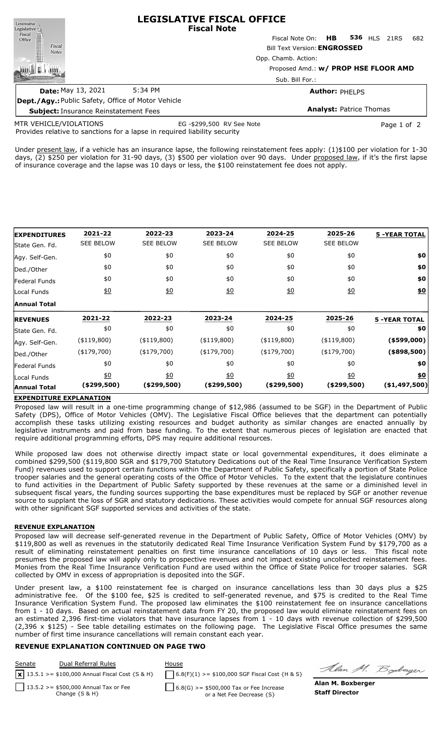| Louisiana                                                 |         | <b>LEGISLATIVE FISCAL OFFICE</b><br><b>Fiscal Note</b> |                       |  |  |                     |     |  |
|-----------------------------------------------------------|---------|--------------------------------------------------------|-----------------------|--|--|---------------------|-----|--|
|                                                           |         | Fiscal Note On: <b>HB</b>                              |                       |  |  | <b>536 HLS 21RS</b> | 682 |  |
| Legislative<br>Fiscal<br>Office<br>Fiscal<br><b>Notes</b> |         | <b>Bill Text Version: ENGROSSED</b>                    |                       |  |  |                     |     |  |
|                                                           |         | Opp. Chamb. Action:                                    |                       |  |  |                     |     |  |
|                                                           |         | Proposed Amd.: w/ PROP HSE FLOOR AMD                   |                       |  |  |                     |     |  |
|                                                           |         | Sub. Bill For.:                                        |                       |  |  |                     |     |  |
| <b>Date: May 13, 2021</b>                                 | 5:34 PM |                                                        | <b>Author: PHELPS</b> |  |  |                     |     |  |
| <b>Dept /Agy · Public Safety Office of Motor Vehicle</b>  |         |                                                        |                       |  |  |                     |     |  |

| <b>Dept./Agy.: Public Safety, Office of Motor Vehicle</b> |                           |                                |
|-----------------------------------------------------------|---------------------------|--------------------------------|
| <b>Subject: Insurance Reinstatement Fees</b>              |                           | <b>Analyst:</b> Patrice Thomas |
| MTR VEHICLE/VIOLATIONS                                    | EG -\$299,500 RV See Note | Page 1 of 2                    |

Provides relative to sanctions for a lapse in required liability security MTR VEHICLE/VIOLATIONS

Under present law, if a vehicle has an insurance lapse, the following reinstatement fees apply: (1)\$100 per violation for 1-30 days, (2) \$250 per violation for 31-90 days, (3) \$500 per violation over 90 days. Under proposed law, if it's the first lapse of insurance coverage and the lapse was 10 days or less, the \$100 reinstatement fee does not apply.

| <b>EXPENDITURES</b> | 2021-22          | 2022-23          | 2023-24           | 2024-25          | 2025-26          | <b>5 -YEAR TOTAL</b> |
|---------------------|------------------|------------------|-------------------|------------------|------------------|----------------------|
| State Gen. Fd.      | <b>SEE BELOW</b> | <b>SEE BELOW</b> | <b>SEE BELOW</b>  | <b>SEE BELOW</b> | <b>SEE BELOW</b> |                      |
| Agy. Self-Gen.      | \$0              | \$0              | \$0               | \$0              | \$0              | \$0                  |
| Ded./Other          | \$0              | \$0              | \$0               | \$0              | \$0              | \$0                  |
| Federal Funds       | \$0              | \$0              | \$0               | \$0              | \$0              | \$0                  |
| Local Funds         | 60               | 60               | $\underline{\$0}$ | 60               | 60               | <u>\$0</u>           |
| <b>Annual Total</b> |                  |                  |                   |                  |                  |                      |
| <b>IREVENUES</b>    | 2021-22          | 2022-23          | 2023-24           | 2024-25          | 2025-26          | <b>5 -YEAR TOTAL</b> |
| State Gen. Fd.      | \$0              | \$0              | \$0               | \$0              | \$0              | \$0                  |
| Agy. Self-Gen.      | $($ \$119,800)   | $($ \$119,800)   | $($ \$119,800)    | $($ \$119,800)   | $(*119,800)$     | $($ \$599,000) $ $   |
| Ded./Other          | $(*179,700)$     | $(*179,700)$     | $(*179,700)$      | $(*179,700)$     | $(*179,700)$     | $($ \$898,500) $ $   |
| Federal Funds       | \$0              | \$0              | \$0               | \$0              | \$0              | \$0                  |
| Local Funds         | $\underline{50}$ | <u>\$0</u>       | $\underline{40}$  | $\underline{50}$ | $\underline{50}$ | \$0                  |
| <b>Annual Total</b> | (\$299,500)      | ( \$299,500)     | $(*299,500)$      | ( \$299,500)     | $(*299,500)$     | ( \$1,497,500)       |

## **EXPENDITURE EXPLANATION**

Proposed law will result in a one-time programming change of \$12,986 (assumed to be SGF) in the Department of Public Safety (DPS), Office of Motor Vehicles (OMV). The Legislative Fiscal Office believes that the department can potentially accomplish these tasks utilizing existing resources and budget authority as similar changes are enacted annually by legislative instruments and paid from base funding. To the extent that numerous pieces of legislation are enacted that require additional programming efforts, DPS may require additional resources.

While proposed law does not otherwise directly impact state or local governmental expenditures, it does eliminate a combined \$299,500 (\$119,800 SGR and \$179,700 Statutory Dedications out of the Real Time Insurance Verification System Fund) revenues used to support certain functions within the Department of Public Safety, specifically a portion of State Police trooper salaries and the general operating costs of the Office of Motor Vehicles. To the extent that the legislature continues to fund activities in the Department of Public Safety supported by these revenues at the same or a diminished level in subsequent fiscal years, the funding sources supporting the base expenditures must be replaced by SGF or another revenue source to supplant the loss of SGR and statutory dedications. These activities would compete for annual SGF resources along with other significant SGF supported services and activities of the state.

#### **REVENUE EXPLANATION**

Proposed law will decrease self-generated revenue in the Department of Public Safety, Office of Motor Vehicles (OMV) by \$119,800 as well as revenues in the statutorily dedicated Real Time Insurance Verification System Fund by \$179,700 as a result of eliminating reinstatement penalties on first time insurance cancellations of 10 days or less. This fiscal note presumes the proposed law will apply only to prospective revenues and not impact existing uncollected reinstatement fees. Monies from the Real Time Insurance Verification Fund are used within the Office of State Police for trooper salaries. SGR collected by OMV in excess of appropriation is deposited into the SGF.

Under present law, a \$100 reinstatement fee is charged on insurance cancellations less than 30 days plus a \$25 administrative fee. Of the \$100 fee, \$25 is credited to self-generated revenue, and \$75 is credited to the Real Time Insurance Verification System Fund. The proposed law eliminates the \$100 reinstatement fee on insurance cancellations from 1 - 10 days. Based on actual reinstatement data from FY 20, the proposed law would eliminate reinstatement fees on an estimated 2,396 first-time violators that have insurance lapses from  $1$  - 10 days with revenue collection of \$299,500 (2,396 x \$125) - See table detailing estimates on the following page. The Legislative Fiscal Office presumes the same number of first time insurance cancellations will remain constant each year.

## **REVENUE EXPLANATION CONTINUED ON PAGE TWO**